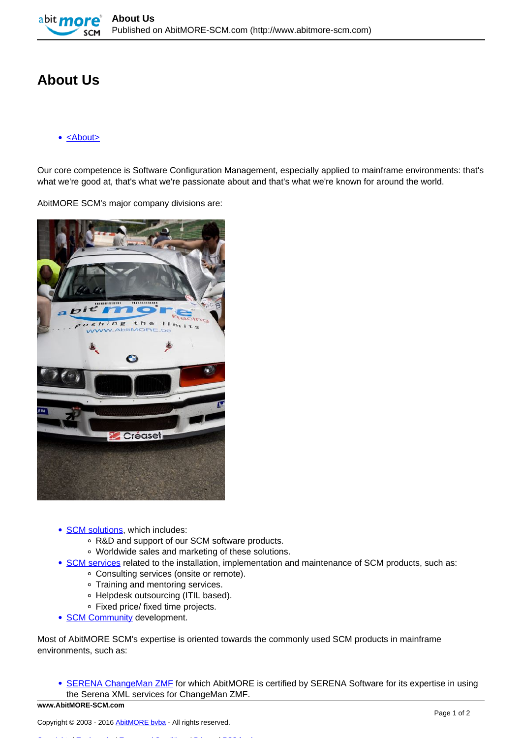## **About Us**

## • [<About>](http://www.abitmore-scm.com/taxonomy/term/37)

Our core competence is Software Configuration Management, especially applied to mainframe environments: that's what we're good at, that's what we're passionate about and that's what we're known for around the world.

AbitMORE SCM's major company divisions are:



- [SCM solutions](http://www.abitmore-scm.com/products), which includes:
	- R&D and support of our SCM software products.
	- Worldwide sales and marketing of these solutions.
- [SCM services](http://www.abitmore-scm.com/o-services) related to the installation, implementation and maintenance of SCM products, such as:
	- Consulting services (onsite or remote).
	- Training and mentoring services.
	- Helpdesk outsourcing (ITIL based).
	- Fixed price/ fixed time projects.
- **[SCM Community](http://www.abitmore-scm.com/community) development.**

Most of AbitMORE SCM's expertise is oriented towards the commonly used SCM products in mainframe environments, such as:

• [SERENA ChangeMan ZMF](http://www.serena.com/products/changeman-zmf/index.html) for which AbitMORE is certified by SERENA Software for its expertise in using the Serena XML services for ChangeMan ZMF.

**www.AbitMORE-SCM.com**

[Copyrights](http://www.abitmore-scm.com/legal/copyrights) | [Trademarks](http://www.abitmore-scm.com/legal/trademarks) | [Terms and Conditions](http://www.abitmore-scm.com/legal/terms) | [Privacy](http://www.abitmore-scm.com/legal/privacy) | [RSS feeds](http://www.abitmore-scm.com/rss.xml)